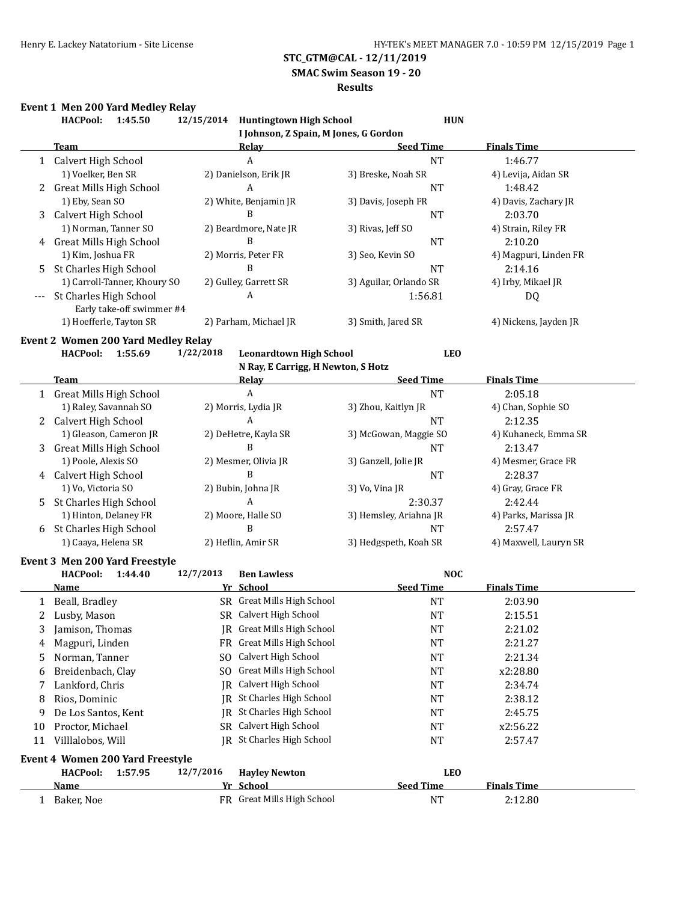**SMAC Swim Season 19 - 20**

#### **Results**

# **Event 1 Men 200 Yard Medley Relay**

|    | <b>HACPool:</b><br>1:45.50                 | 12/15/2014 Huntingtown High School          | <b>HUN</b>                            |                       |
|----|--------------------------------------------|---------------------------------------------|---------------------------------------|-----------------------|
|    |                                            |                                             | I Johnson, Z Spain, M Jones, G Gordon |                       |
|    | <b>Team</b>                                | <b>Relay</b>                                | <b>Seed Time</b>                      | <b>Finals Time</b>    |
|    | 1 Calvert High School                      | A                                           | <b>NT</b>                             | 1:46.77               |
|    | 1) Voelker, Ben SR                         | 2) Danielson, Erik JR                       | 3) Breske, Noah SR                    | 4) Levija, Aidan SR   |
|    | <b>Great Mills High School</b>             | A                                           | <b>NT</b>                             | 1:48.42               |
|    | 1) Eby, Sean SO                            | 2) White, Benjamin JR                       | 3) Davis, Joseph FR                   | 4) Davis, Zachary JR  |
| 3  | Calvert High School                        | B                                           | <b>NT</b>                             | 2:03.70               |
|    | 1) Norman, Tanner SO                       | 2) Beardmore, Nate JR                       | 3) Rivas, Jeff SO                     | 4) Strain, Riley FR   |
|    | 4 Great Mills High School                  | B                                           | <b>NT</b>                             | 2:10.20               |
|    | 1) Kim, Joshua FR                          | 2) Morris, Peter FR                         | 3) Seo, Kevin SO                      | 4) Magpuri, Linden FR |
| 5. | St Charles High School                     | B                                           | <b>NT</b>                             | 2:14.16               |
|    | 1) Carroll-Tanner, Khoury SO               | 2) Gulley, Garrett SR                       | 3) Aguilar, Orlando SR                | 4) Irby, Mikael JR    |
|    | St Charles High School                     | A                                           | 1:56.81                               | DQ                    |
|    | Early take-off swimmer #4                  |                                             |                                       |                       |
|    | 1) Hoefferle, Tayton SR                    | 2) Parham, Michael JR                       | 3) Smith, Jared SR                    | 4) Nickens, Jayden JR |
|    | <b>Event 2 Women 200 Yard Medley Relay</b> |                                             |                                       |                       |
|    | <b>HACPool:</b><br>1:55.69                 | 1/22/2018<br><b>Leonardtown High School</b> | <b>LEO</b>                            |                       |
|    |                                            | N Ray, E Carrigg, H Newton, S Hotz          |                                       |                       |
|    | <b>Team</b>                                | Relay                                       | <b>Seed Time</b>                      | <b>Finals Time</b>    |
|    | 1 Great Mills High School                  | $\boldsymbol{A}$                            | <b>NT</b>                             | 2:05.18               |
|    | 1) Raley, Savannah SO                      | 2) Morris, Lydia JR                         | 3) Zhou, Kaitlyn JR                   | 4) Chan, Sophie SO    |
| 2  | Calvert High School                        | A                                           | <b>NT</b>                             | 2:12.35               |
|    | 1) Gleason, Cameron JR                     | 2) DeHetre, Kayla SR                        | 3) McGowan, Maggie SO                 | 4) Kuhaneck, Emma SR  |
| 3  | <b>Great Mills High School</b>             | B                                           | <b>NT</b>                             | 2:13.47               |
|    | 1) Poole, Alexis SO                        | 2) Mesmer, Olivia JR                        | 3) Ganzell, Jolie JR                  | 4) Mesmer, Grace FR   |
|    | 4 Calvert High School                      | B                                           | <b>NT</b>                             | 2:28.37               |
|    | 1) Vo, Victoria SO                         | 2) Bubin, Johna JR                          | 3) Vo, Vina JR                        | 4) Gray, Grace FR     |
| 5. | St Charles High School                     | A                                           | 2:30.37                               | 2:42.44               |
|    | 1) Hinton, Delaney FR                      | 2) Moore, Halle SO                          | 3) Hemsley, Ariahna JR                | 4) Parks, Marissa JR  |
| 6  | St Charles High School                     | B                                           | <b>NT</b>                             | 2:57.47               |
|    | 1) Caaya, Helena SR                        | 2) Heflin, Amir SR                          | 3) Hedgspeth, Koah SR                 | 4) Maxwell, Lauryn SR |
|    | Event 3 Men 200 Yard Freestyle             |                                             |                                       |                       |
|    | <b>HACPool:</b><br>1:44.40                 | 12/7/2013<br><b>Ben Lawless</b>             | <b>NOC</b>                            |                       |
|    | <b>Name</b>                                | Yr School                                   | <b>Seed Time</b>                      | <b>Finals Time</b>    |
| 1  | Beall, Bradley                             | SR Great Mills High School                  | <b>NT</b>                             | 2:03.90               |
| 2  | Lusby, Mason                               | SR Calvert High School                      | <b>NT</b>                             | 2:15.51               |
| 3  | Jamison, Thomas                            | JR Great Mills High School                  | NT                                    | 2:21.02               |
|    |                                            | FR Great Mills High School                  |                                       |                       |
| 4  | Magpuri, Linden                            | Calvert High School                         | <b>NT</b>                             | 2:21.27               |
| 5  | Norman, Tanner                             | SO.<br>Great Mills High School              | NT                                    | 2:21.34               |
| 6  | Breidenbach, Clay                          | SO.                                         | NT                                    | x2:28.80              |
| 7  | Lankford, Chris                            | Calvert High School<br>IR                   | <b>NT</b>                             | 2:34.74               |
| 8  | Rios, Dominic                              | JR St Charles High School                   | <b>NT</b>                             | 2:38.12               |
| 9  | De Los Santos, Kent                        | IR St Charles High School                   | NT                                    | 2:45.75               |
| 10 | Proctor, Michael                           | SR Calvert High School                      | NT                                    | x2:56.22              |
| 11 | Villlalobos, Will                          | <b>IR</b> St Charles High School            | NT                                    | 2:57.47               |
|    | Event 4 Women 200 Yard Freestyle           |                                             |                                       |                       |
|    | <b>HACPool:</b><br>1:57.95                 | 12/7/2016<br><b>Hayley Newton</b>           | <b>LEO</b>                            |                       |
|    | <u>Name</u>                                | Yr School                                   | <b>Seed Time</b>                      | <b>Finals Time</b>    |
|    | 1 Baker, Noe                               | FR Great Mills High School                  | <b>NT</b>                             | 2:12.80               |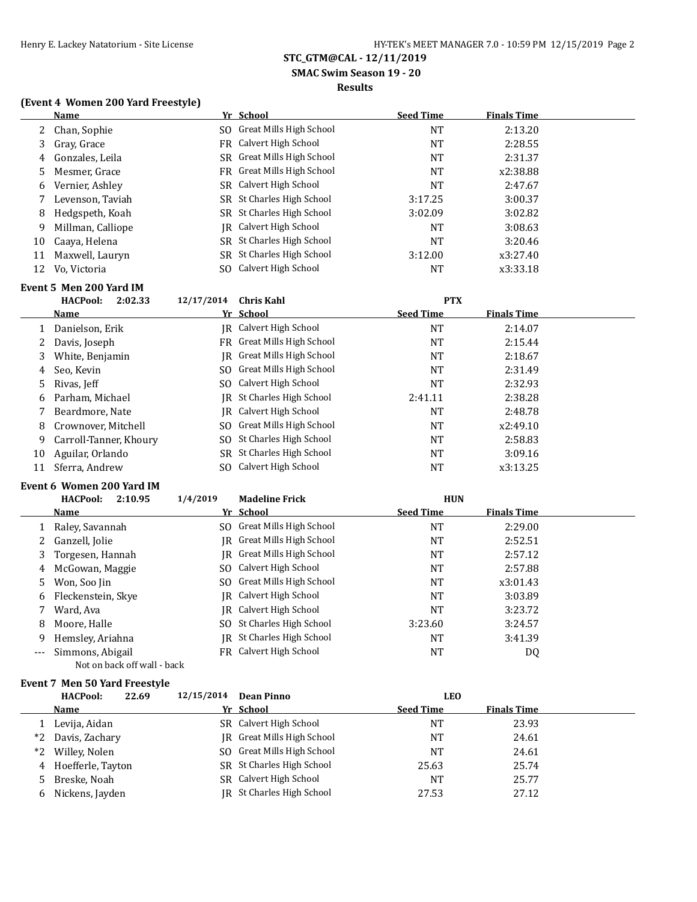# **SMAC Swim Season 19 - 20**

## **Results**

## **(Event 4 Women 200 Yard Freestyle)**

|    | Name              | Yr School                  | <b>Seed Time</b> | <b>Finals Time</b> |
|----|-------------------|----------------------------|------------------|--------------------|
|    | 2 Chan, Sophie    | SO Great Mills High School | <b>NT</b>        | 2:13.20            |
| 3  | Gray, Grace       | FR Calvert High School     | <b>NT</b>        | 2:28.55            |
| 4  | Gonzales, Leila   | SR Great Mills High School | NT               | 2:31.37            |
| 5  | Mesmer, Grace     | FR Great Mills High School | <b>NT</b>        | x2:38.88           |
| 6  | Vernier, Ashley   | SR Calvert High School     | <b>NT</b>        | 2:47.67            |
|    | Levenson, Taviah  | SR St Charles High School  | 3:17.25          | 3:00.37            |
| 8  | Hedgspeth, Koah   | SR St Charles High School  | 3:02.09          | 3:02.82            |
| 9  | Millman, Calliope | IR Calvert High School     | <b>NT</b>        | 3:08.63            |
| 10 | Caaya, Helena     | SR St Charles High School  | NT               | 3:20.46            |
| 11 | Maxwell, Lauryn   | SR St Charles High School  | 3:12.00          | x3:27.40           |
| 12 | Vo, Victoria      | SO Calvert High School     | <b>NT</b>        | x3:33.18           |

# **Event 5 Men 200 Yard IM**

|    | <b>HACPool:</b><br>2:02.33 | 12/17/2014 | Chris Kahl                       | <b>PTX</b>       |                    |
|----|----------------------------|------------|----------------------------------|------------------|--------------------|
|    | Name                       |            | Yr School                        | <b>Seed Time</b> | <b>Finals Time</b> |
|    | Danielson, Erik            |            | IR Calvert High School           | NT               | 2:14.07            |
| 2  | Davis, Joseph              |            | FR Great Mills High School       | NT               | 2:15.44            |
| 3  | White, Benjamin            | IR.        | Great Mills High School          | NT               | 2:18.67            |
| 4  | Seo, Kevin                 | SO.        | Great Mills High School          | NT               | 2:31.49            |
| 5  | Rivas, Jeff                |            | SO Calvert High School           | NT               | 2:32.93            |
| 6  | Parham, Michael            |            | <b>IR</b> St Charles High School | 2:41.11          | 2:38.28            |
|    | Beardmore, Nate            |            | IR Calvert High School           | NT               | 2:48.78            |
| 8  | Crownover, Mitchell        |            | SO Great Mills High School       | NT               | x2:49.10           |
| 9  | Carroll-Tanner, Khoury     |            | SO St Charles High School        | NT               | 2:58.83            |
| 10 | Aguilar, Orlando           |            | SR St Charles High School        | NT               | 3:09.16            |
| 11 | Sferra, Andrew             |            | SO Calvert High School           | NT               | x3:13.25           |

#### **Event 6 Women 200 Yard IM**

|     | <b>HACPool:</b><br>2:10.95  | 1/4/2019<br><b>Madeline Frick</b> | <b>HUN</b>       |                    |  |
|-----|-----------------------------|-----------------------------------|------------------|--------------------|--|
|     | <b>Name</b>                 | Yr School                         | <b>Seed Time</b> | <b>Finals Time</b> |  |
|     | Raley, Savannah             | SO Great Mills High School        | <b>NT</b>        | 2:29.00            |  |
|     | 2 Ganzell, Jolie            | IR Great Mills High School        | <b>NT</b>        | 2:52.51            |  |
| 3   | Torgesen, Hannah            | IR Great Mills High School        | <b>NT</b>        | 2:57.12            |  |
| 4   | McGowan, Maggie             | SO Calvert High School            | <b>NT</b>        | 2:57.88            |  |
| 5.  | Won, Soo Jin                | SO Great Mills High School        | <b>NT</b>        | x3:01.43           |  |
| 6   | Fleckenstein, Skye          | IR Calvert High School            | <b>NT</b>        | 3:03.89            |  |
|     | Ward, Ava                   | IR Calvert High School            | <b>NT</b>        | 3:23.72            |  |
| 8   | Moore, Halle                | SO St Charles High School         | 3:23.60          | 3:24.57            |  |
| 9   | Hemsley, Ariahna            | IR St Charles High School         | <b>NT</b>        | 3:41.39            |  |
| --- | Simmons, Abigail            | <b>FR</b> Calvert High School     | <b>NT</b>        | DQ                 |  |
|     | Not on back off wall - back |                                   |                  |                    |  |

#### **Event 7 Men 50 Yard Freestyle**

|      | <b>HACPool:</b><br>22.69 | 12/15/2014 | Dean Pinno                 | <b>LEO</b>       |                    |  |
|------|--------------------------|------------|----------------------------|------------------|--------------------|--|
|      | Name                     |            | Yr School                  | <b>Seed Time</b> | <b>Finals Time</b> |  |
|      | Levija, Aidan            |            | SR Calvert High School     | NΤ               | 23.93              |  |
| *2   | Davis, Zachary           |            | IR Great Mills High School | NT               | 24.61              |  |
| $*2$ | Willey, Nolen            |            | SO Great Mills High School | NT               | 24.61              |  |
|      | 4 Hoefferle, Tayton      |            | SR St Charles High School  | 25.63            | 25.74              |  |
| 5    | Breske, Noah             |            | SR Calvert High School     | NT               | 25.77              |  |
| 6    | Nickens, Jayden          |            | JR St Charles High School  | 27.53            | 27.12              |  |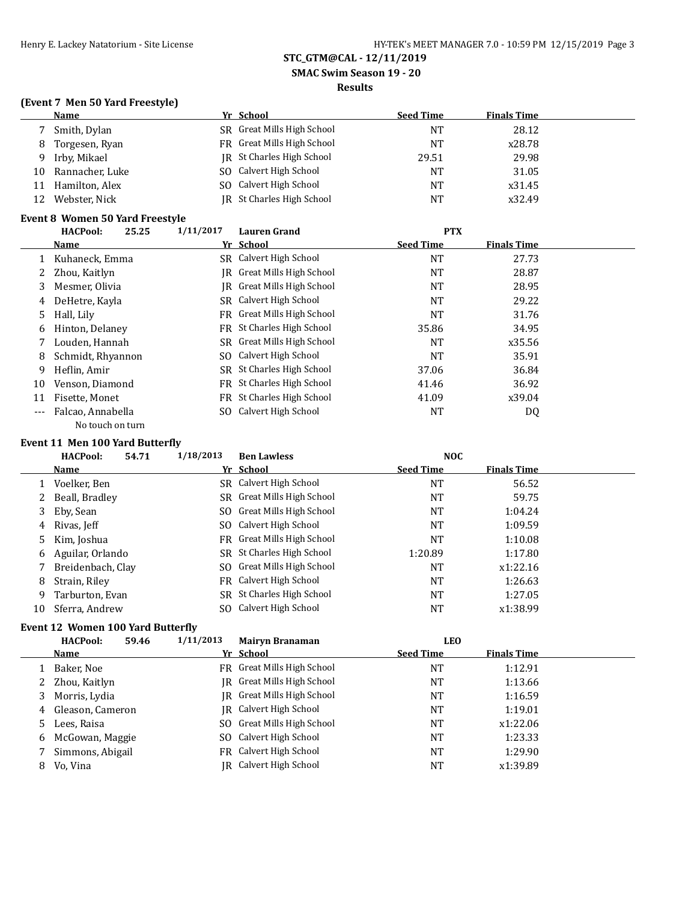**SMAC Swim Season 19 - 20**

#### **Results**

## **(Event 7 Men 50 Yard Freestyle)**

|    | Name            | Yr School                  | <b>Seed Time</b> | <b>Finals Time</b> |  |
|----|-----------------|----------------------------|------------------|--------------------|--|
|    | 7 Smith, Dylan  | SR Great Mills High School | NT               | 28.12              |  |
| 8  | Torgesen, Ryan  | FR Great Mills High School | NT               | x28.78             |  |
| 9  | Irby, Mikael    | IR St Charles High School  | 29.51            | 29.98              |  |
| 10 | Rannacher, Luke | SO Calvert High School     | NT               | 31.05              |  |
| 11 | Hamilton, Alex  | SO Calvert High School     | NT               | x31.45             |  |
| 12 | Webster, Nick   | JR St Charles High School  | NT               | x32.49             |  |

## **Event 8 Women 50 Yard Freestyle**

|       | <b>HACPool:</b><br>25.25 | 1/11/2017 | <b>Lauren Grand</b>        | <b>PTX</b>       |                    |  |
|-------|--------------------------|-----------|----------------------------|------------------|--------------------|--|
|       | Name                     |           | Yr School                  | <b>Seed Time</b> | <b>Finals Time</b> |  |
|       | Kuhaneck, Emma           |           | SR Calvert High School     | NT               | 27.73              |  |
| 2     | Zhou, Kaitlyn            | IR-       | Great Mills High School    | NT               | 28.87              |  |
| 3     | Mesmer, Olivia           | IR-       | Great Mills High School    | <b>NT</b>        | 28.95              |  |
| 4     | DeHetre, Kayla           |           | SR Calvert High School     | <b>NT</b>        | 29.22              |  |
| 5     | Hall, Lily               |           | FR Great Mills High School | <b>NT</b>        | 31.76              |  |
| 6     | Hinton, Delaney          |           | FR St Charles High School  | 35.86            | 34.95              |  |
|       | Louden, Hannah           |           | SR Great Mills High School | <b>NT</b>        | x35.56             |  |
| 8     | Schmidt, Rhyannon        | SO.       | Calvert High School        | <b>NT</b>        | 35.91              |  |
| 9     | Heflin, Amir             |           | SR St Charles High School  | 37.06            | 36.84              |  |
| 10    | Venson, Diamond          |           | FR St Charles High School  | 41.46            | 36.92              |  |
| 11    | Fisette, Monet           |           | FR St Charles High School  | 41.09            | x39.04             |  |
| $---$ | Falcao, Annabella        | SO.       | Calvert High School        | <b>NT</b>        | DQ                 |  |
|       | No touch on turn         |           |                            |                  |                    |  |

#### **Event 11 Men 100 Yard Butterfly**

|    | <b>HACPool:</b>   | 54.71 | 1/18/2013 | <b>Ben Lawless</b>         | <b>NOC</b>       |                    |  |
|----|-------------------|-------|-----------|----------------------------|------------------|--------------------|--|
|    | Name              |       |           | Yr School                  | <b>Seed Time</b> | <b>Finals Time</b> |  |
|    | Voelker, Ben      |       |           | SR Calvert High School     | <b>NT</b>        | 56.52              |  |
|    | 2 Beall, Bradley  |       |           | SR Great Mills High School | <b>NT</b>        | 59.75              |  |
|    | 3 Eby, Sean       |       |           | SO Great Mills High School | <b>NT</b>        | 1:04.24            |  |
| 4  | Rivas, Jeff       |       |           | SO Calvert High School     | <b>NT</b>        | 1:09.59            |  |
|    | 5 Kim, Joshua     |       |           | FR Great Mills High School | <b>NT</b>        | 1:10.08            |  |
| 6  | Aguilar, Orlando  |       |           | SR St Charles High School  | 1:20.89          | 1:17.80            |  |
|    | Breidenbach, Clay |       |           | SO Great Mills High School | <b>NT</b>        | x1:22.16           |  |
| 8  | Strain, Riley     |       |           | FR Calvert High School     | <b>NT</b>        | 1:26.63            |  |
| 9  | Tarburton, Evan   |       |           | SR St Charles High School  | <b>NT</b>        | 1:27.05            |  |
| 10 | Sferra, Andrew    |       |           | SO Calvert High School     | <b>NT</b>        | x1:38.99           |  |

## **Event 12 Women 100 Yard Butterfly**

|   | <b>HACPool:</b>    | 1/11/2013<br>59.46 | <b>Mairyn Branaman</b>     | <b>LEO</b>       |                    |  |
|---|--------------------|--------------------|----------------------------|------------------|--------------------|--|
|   | Name               |                    | Yr School                  | <b>Seed Time</b> | <b>Finals Time</b> |  |
|   | Baker, Noe         |                    | FR Great Mills High School | <b>NT</b>        | 1:12.91            |  |
|   | 2 Zhou, Kaitlyn    |                    | IR Great Mills High School | <b>NT</b>        | 1:13.66            |  |
|   | 3 Morris, Lydia    |                    | IR Great Mills High School | NT               | 1:16.59            |  |
|   | 4 Gleason, Cameron |                    | IR Calvert High School     | <b>NT</b>        | 1:19.01            |  |
| 5 | Lees, Raisa        |                    | SO Great Mills High School | <b>NT</b>        | x1:22.06           |  |
|   | 6 McGowan, Maggie  |                    | SO Calvert High School     | <b>NT</b>        | 1:23.33            |  |
|   | Simmons, Abigail   |                    | FR Calvert High School     | <b>NT</b>        | 1:29.90            |  |
| 8 | Vo, Vina           | IR                 | Calvert High School        | <b>NT</b>        | x1:39.89           |  |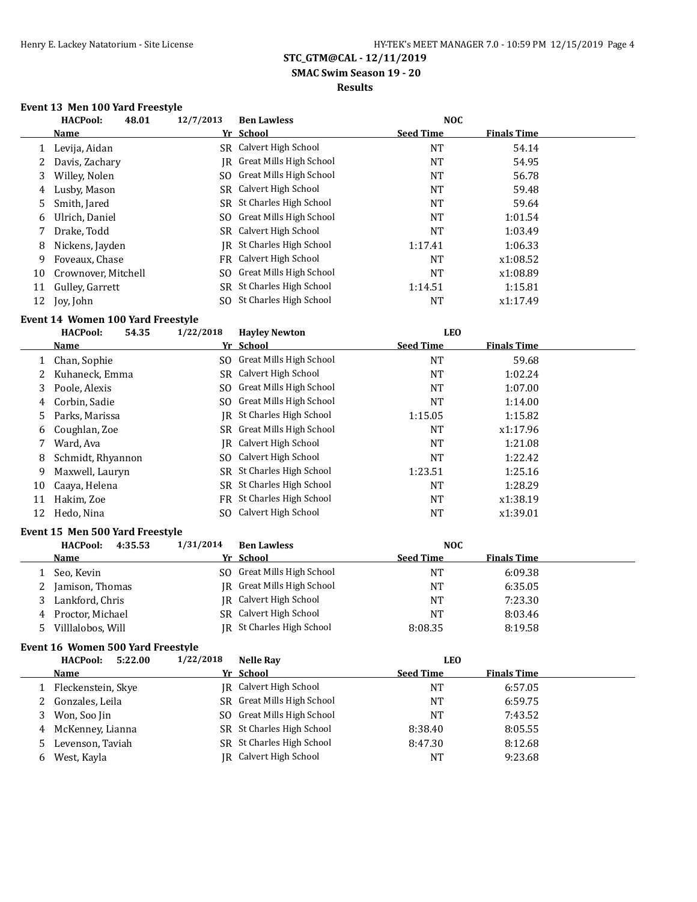# **SMAC Swim Season 19 - 20**

# **Results**

# **Event 13 Men 100 Yard Freestyle**

|    | <b>HACPool:</b><br>48.01 | 12/7/2013 | <b>Ben Lawless</b>                | <b>NOC</b>       |                    |  |
|----|--------------------------|-----------|-----------------------------------|------------------|--------------------|--|
|    | Name                     |           | Yr School                         | <b>Seed Time</b> | <b>Finals Time</b> |  |
|    | Levija, Aidan            |           | SR Calvert High School            | NT               | 54.14              |  |
|    | Davis, Zachary           |           | <b>IR</b> Great Mills High School | NT               | 54.95              |  |
| 3  | Willey, Nolen            |           | SO Great Mills High School        | NT               | 56.78              |  |
| 4  | Lusby, Mason             |           | SR Calvert High School            | NT               | 59.48              |  |
| 5. | Smith, Jared             |           | SR St Charles High School         | NT               | 59.64              |  |
| 6  | Ulrich, Daniel           |           | SO Great Mills High School        | NT               | 1:01.54            |  |
|    | Drake, Todd              |           | SR Calvert High School            | NT               | 1:03.49            |  |
| 8  | Nickens, Jayden          | IR        | St Charles High School            | 1:17.41          | 1:06.33            |  |
| 9  | Foveaux, Chase           |           | FR Calvert High School            | NT               | x1:08.52           |  |
| 10 | Crownover, Mitchell      |           | SO Great Mills High School        | NT               | x1:08.89           |  |
| 11 | Gulley, Garrett          |           | SR St Charles High School         | 1:14.51          | 1:15.81            |  |
| 12 | Joy, John                |           | SO St Charles High School         | NT               | x1:17.49           |  |

## **Event 14 Women 100 Yard Freestyle**

|    | <b>HACPool:</b><br>54.35 | 1/22/2018 | <b>Havley Newton</b>       | <b>LEO</b>       |                    |  |
|----|--------------------------|-----------|----------------------------|------------------|--------------------|--|
|    | Name                     |           | Yr School                  | <b>Seed Time</b> | <b>Finals Time</b> |  |
|    | 1 Chan, Sophie           |           | SO Great Mills High School | <b>NT</b>        | 59.68              |  |
|    | Kuhaneck, Emma           |           | SR Calvert High School     | <b>NT</b>        | 1:02.24            |  |
| 3  | Poole, Alexis            |           | SO Great Mills High School | <b>NT</b>        | 1:07.00            |  |
| 4  | Corbin, Sadie            |           | SO Great Mills High School | <b>NT</b>        | 1:14.00            |  |
| 5. | Parks, Marissa           | IR        | St Charles High School     | 1:15.05          | 1:15.82            |  |
| 6  | Coughlan, Zoe            |           | SR Great Mills High School | <b>NT</b>        | x1:17.96           |  |
|    | Ward, Ava                |           | IR Calvert High School     | <b>NT</b>        | 1:21.08            |  |
| 8  | Schmidt, Rhyannon        | SO.       | Calvert High School        | <b>NT</b>        | 1:22.42            |  |
| 9  | Maxwell, Lauryn          |           | SR St Charles High School  | 1:23.51          | 1:25.16            |  |
| 10 | Caaya, Helena            |           | SR St Charles High School  | <b>NT</b>        | 1:28.29            |  |
| 11 | Hakim, Zoe               | FR        | St Charles High School     | <b>NT</b>        | x1:38.19           |  |
| 12 | Hedo, Nina               | SO.       | Calvert High School        | NT               | x1:39.01           |  |

#### **Event 15 Men 500 Yard Freestyle**

|   | <b>HACPool:</b><br>4:35.53 | 1/31/2014 | <b>Ben Lawless</b>         | <b>NOC</b>       |                    |  |
|---|----------------------------|-----------|----------------------------|------------------|--------------------|--|
|   | <b>Name</b>                |           | Yr School                  | <b>Seed Time</b> | <b>Finals Time</b> |  |
|   | Seo, Kevin                 |           | SO Great Mills High School | NT               | 6:09.38            |  |
|   | Jamison, Thomas            |           | IR Great Mills High School | NΤ               | 6:35.05            |  |
|   | Lankford, Chris            |           | IR Calvert High School     | NT               | 7:23.30            |  |
| 4 | Proctor, Michael           | SR.       | Calvert High School        | NT               | 8:03.46            |  |
|   | Villlalobos, Will          |           | JR St Charles High School  | 8:08.35          | 8:19.58            |  |

#### **Event 16 Women 500 Yard Freestyle**

|    | <b>HACPool:</b><br>5:22.00 | 1/22/2018 | <b>Nelle Ray</b>           | <b>LEO</b>       |                    |  |
|----|----------------------------|-----------|----------------------------|------------------|--------------------|--|
|    | Name                       |           | Yr School                  | <b>Seed Time</b> | <b>Finals Time</b> |  |
|    | Fleckenstein, Skye         |           | JR Calvert High School     | NΤ               | 6:57.05            |  |
|    | 2 Gonzales, Leila          |           | SR Great Mills High School | <b>NT</b>        | 6:59.75            |  |
| 3. | Won, Soo Jin               | SO.       | Great Mills High School    | NΤ               | 7:43.52            |  |
|    | 4 McKenney, Lianna         |           | SR St Charles High School  | 8:38.40          | 8:05.55            |  |
|    | Levenson, Taviah           |           | SR St Charles High School  | 8:47.30          | 8:12.68            |  |
| b. | West, Kayla                | IRI       | Calvert High School        | <b>NT</b>        | 9:23.68            |  |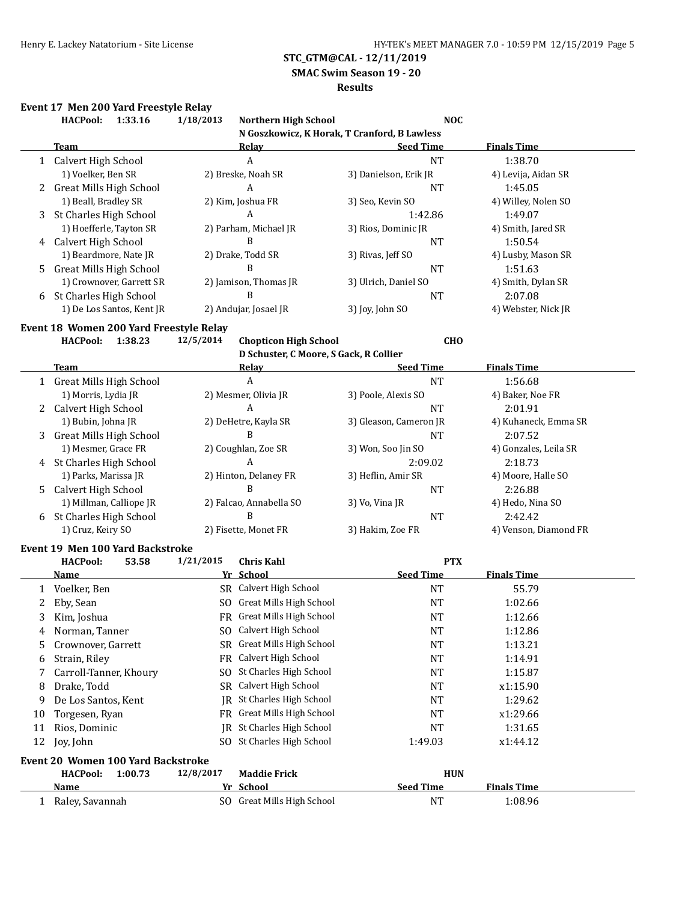## **SMAC Swim Season 19 - 20**

#### **Results**

# **Event 17 Men 200 Yard Freestyle Relay**

|    | <b>HACPool:</b>                         | 1:33.16 | 1/18/2013                 | <b>Northern High School</b>                          |                        | <b>NOC</b>         |                       |
|----|-----------------------------------------|---------|---------------------------|------------------------------------------------------|------------------------|--------------------|-----------------------|
|    |                                         |         |                           | N Goszkowicz, K Horak, T Cranford, B Lawless         |                        |                    |                       |
|    | <b>Team</b>                             |         |                           | <b>Relay</b>                                         | <b>Seed Time</b>       | <b>Finals Time</b> |                       |
|    | 1 Calvert High School                   |         |                           | A                                                    | <b>NT</b>              | 1:38.70            |                       |
|    | 1) Voelker, Ben SR                      |         |                           | 2) Breske, Noah SR                                   | 3) Danielson, Erik JR  |                    | 4) Levija, Aidan SR   |
| 2  | <b>Great Mills High School</b>          |         |                           | A                                                    | <b>NT</b>              | 1:45.05            |                       |
|    | 1) Beall, Bradley SR                    |         |                           | 2) Kim, Joshua FR                                    | 3) Seo, Kevin SO       |                    | 4) Willey, Nolen SO   |
| 3  | St Charles High School                  |         |                           | A                                                    | 1:42.86                | 1:49.07            |                       |
|    | 1) Hoefferle, Tayton SR                 |         |                           | 2) Parham, Michael JR                                | 3) Rios, Dominic JR    |                    | 4) Smith, Jared SR    |
|    | 4 Calvert High School                   |         |                           | B                                                    | <b>NT</b>              | 1:50.54            |                       |
|    | 1) Beardmore, Nate JR                   |         |                           | 2) Drake, Todd SR                                    | 3) Rivas, Jeff SO      |                    | 4) Lusby, Mason SR    |
| 5. | <b>Great Mills High School</b>          |         |                           | B                                                    | <b>NT</b>              | 1:51.63            |                       |
|    | 1) Crownover, Garrett SR                |         |                           | 2) Jamison, Thomas JR                                | 3) Ulrich, Daniel SO   |                    | 4) Smith, Dylan SR    |
| 6  | St Charles High School                  |         |                           | B                                                    | <b>NT</b>              | 2:07.08            |                       |
|    | 1) De Los Santos, Kent JR               |         |                           | 2) Andujar, Josael JR                                | 3) Joy, John SO        |                    | 4) Webster, Nick JR   |
|    | Event 18 Women 200 Yard Freestyle Relay |         |                           |                                                      |                        |                    |                       |
|    | <b>HACPool:</b>                         | 1:38.23 | 12/5/2014                 | <b>Chopticon High School</b>                         |                        | <b>CHO</b>         |                       |
|    |                                         |         |                           | D Schuster, C Moore, S Gack, R Collier               |                        |                    |                       |
|    | Team                                    |         |                           | <b>Relay</b>                                         | <b>Seed Time</b>       | <b>Finals Time</b> |                       |
|    | 1 Great Mills High School               |         |                           | $\mathbf{A}$                                         | <b>NT</b>              | 1:56.68            |                       |
|    | 1) Morris, Lydia JR                     |         |                           | 2) Mesmer, Olivia JR                                 | 3) Poole, Alexis SO    |                    | 4) Baker, Noe FR      |
| 2  | Calvert High School                     |         |                           | A                                                    | <b>NT</b>              | 2:01.91            |                       |
|    | 1) Bubin, Johna JR                      |         |                           | 2) DeHetre, Kayla SR                                 | 3) Gleason, Cameron JR |                    | 4) Kuhaneck, Emma SR  |
| 3  | <b>Great Mills High School</b>          |         |                           | B                                                    | <b>NT</b>              | 2:07.52            |                       |
|    | 1) Mesmer, Grace FR                     |         |                           | 2) Coughlan, Zoe SR                                  | 3) Won, Soo Jin SO     |                    | 4) Gonzales, Leila SR |
| 4  | St Charles High School                  |         |                           | A                                                    | 2:09.02                | 2:18.73            |                       |
|    | 1) Parks, Marissa JR                    |         |                           | 2) Hinton, Delaney FR                                | 3) Heflin, Amir SR     |                    | 4) Moore, Halle SO    |
| 5. | Calvert High School                     |         |                           | B                                                    | <b>NT</b>              | 2:26.88            |                       |
|    | 1) Millman, Calliope JR                 |         |                           | 2) Falcao, Annabella SO                              | 3) Vo, Vina JR         |                    | 4) Hedo, Nina SO      |
| 6  | St Charles High School                  |         | B<br>2) Fisette, Monet FR |                                                      | <b>NT</b>              | 2:42.42            |                       |
|    | 1) Cruz, Keiry SO                       |         |                           |                                                      | 3) Hakim, Zoe FR       |                    | 4) Venson, Diamond FR |
|    |                                         |         |                           |                                                      |                        |                    |                       |
|    | Event 19 Men 100 Yard Backstroke        |         | 1/21/2015                 |                                                      |                        | <b>PTX</b>         |                       |
|    | <b>HACPool:</b><br>Name                 | 53.58   |                           | <b>Chris Kahl</b><br>Yr School                       | <b>Seed Time</b>       | <b>Finals Time</b> |                       |
|    |                                         |         |                           | SR Calvert High School                               |                        |                    |                       |
| 1  | Voelker, Ben                            |         |                           | SO Great Mills High School                           | NT                     |                    | 55.79                 |
| 2  | Eby, Sean                               |         |                           |                                                      | NT                     | 1:02.66            |                       |
| 3  | Kim, Joshua                             |         |                           | FR Great Mills High School<br>SO Calvert High School | <b>NT</b>              | 1:12.66            |                       |
| 4  | Norman, Tanner                          |         |                           |                                                      | NT                     | 1:12.86            |                       |
| 5  | Crownover, Garrett                      |         |                           | SR Great Mills High School                           | NT                     | 1:13.21            |                       |
| 6  | Strain, Riley                           |         |                           | FR Calvert High School                               | <b>NT</b>              | 1:14.91            |                       |
| 7  | Carroll-Tanner, Khoury                  |         | SO.                       | St Charles High School                               | NT                     | 1:15.87            |                       |
| 8  | Drake, Todd                             |         | SR                        | Calvert High School                                  | NT                     | x1:15.90           |                       |
| 9  | De Los Santos, Kent                     |         |                           | JR St Charles High School                            | NT                     | 1:29.62            |                       |
| 10 | Torgesen, Ryan                          |         |                           | FR Great Mills High School                           | NT                     | x1:29.66           |                       |
| 11 | Rios, Dominic                           |         |                           | JR St Charles High School                            | NT                     | 1:31.65            |                       |
| 12 | Joy, John                               |         |                           | SO St Charles High School                            | 1:49.03                | x1:44.12           |                       |
|    | Event 20 Women 100 Yard Backstroke      |         |                           |                                                      |                        |                    |                       |
|    | <b>HACPool:</b>                         | 1:00.73 | 12/8/2017                 | <b>Maddie Frick</b>                                  |                        | <b>HUN</b>         |                       |
|    | <u>Name</u>                             |         |                           | Yr School                                            | <b>Seed Time</b>       | <b>Finals Time</b> |                       |
|    | 1 Raley, Savannah                       |         |                           | SO Great Mills High School                           | <b>NT</b>              | 1:08.96            |                       |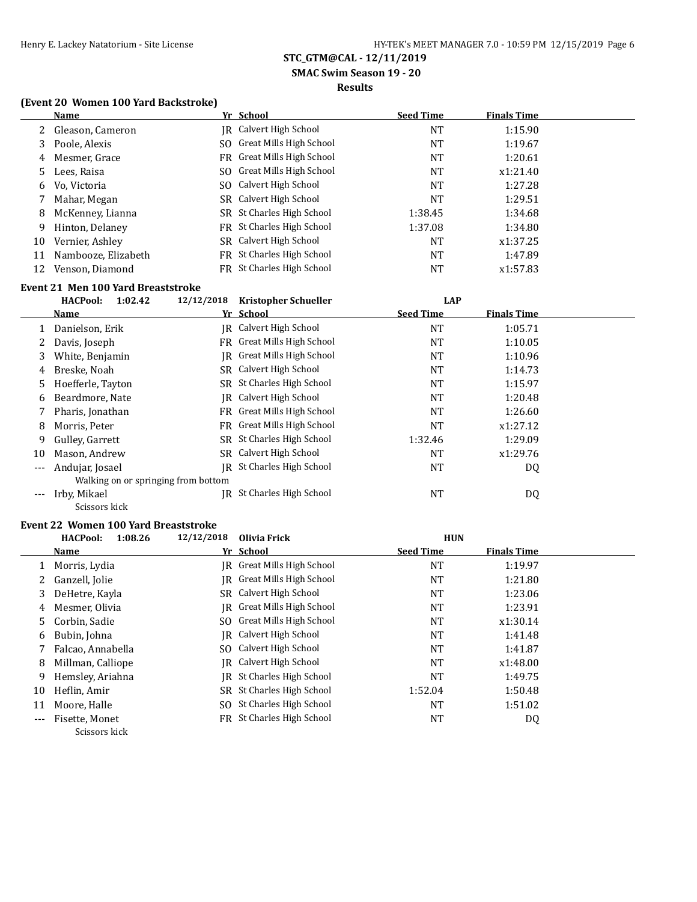**SMAC Swim Season 19 - 20**

#### **Results**

## **(Event 20 Women 100 Yard Backstroke)**

|    | Name                | Yr School                  | <b>Seed Time</b> | <b>Finals Time</b> |
|----|---------------------|----------------------------|------------------|--------------------|
|    | 2 Gleason, Cameron  | IR Calvert High School     | NT               | 1:15.90            |
| 3  | Poole, Alexis       | SO Great Mills High School | NT               | 1:19.67            |
| 4  | Mesmer, Grace       | FR Great Mills High School | NT               | 1:20.61            |
|    | 5 Lees, Raisa       | SO Great Mills High School | NT               | x1:21.40           |
| 6  | Vo, Victoria        | SO Calvert High School     | NT               | 1:27.28            |
|    | Mahar, Megan        | SR Calvert High School     | NT               | 1:29.51            |
| 8  | McKenney, Lianna    | SR St Charles High School  | 1:38.45          | 1:34.68            |
| 9  | Hinton, Delaney     | FR St Charles High School  | 1:37.08          | 1:34.80            |
| 10 | Vernier, Ashley     | SR Calvert High School     | NT               | x1:37.25           |
| 11 | Nambooze, Elizabeth | FR St Charles High School  | NT               | 1:47.89            |
| 12 | Venson, Diamond     | FR St Charles High School  | NT               | x1:57.83           |

#### **Event 21 Men 100 Yard Breaststroke**

|                     | <b>HACPool:</b><br>1:02.42          | 12/12/2018 | <b>Kristopher Schueller</b>    | <b>LAP</b>       |                    |
|---------------------|-------------------------------------|------------|--------------------------------|------------------|--------------------|
|                     | Name                                |            | Yr School                      | <b>Seed Time</b> | <b>Finals Time</b> |
|                     | Danielson, Erik                     | IR         | Calvert High School            | NT               | 1:05.71            |
|                     | Davis, Joseph                       |            | FR Great Mills High School     | NT               | 1:10.05            |
| 3                   | White, Benjamin                     | IR         | <b>Great Mills High School</b> | NT               | 1:10.96            |
| 4                   | Breske, Noah                        |            | SR Calvert High School         | NT               | 1:14.73            |
| 5.                  | Hoefferle, Tayton                   |            | SR St Charles High School      | NT               | 1:15.97            |
| 6                   | Beardmore, Nate                     | IR         | Calvert High School            | NT               | 1:20.48            |
|                     | Pharis, Jonathan                    | FR         | Great Mills High School        | NT               | 1:26.60            |
| 8                   | Morris, Peter                       |            | FR Great Mills High School     | NT               | x1:27.12           |
| 9                   | Gulley, Garrett                     | SR.        | St Charles High School         | 1:32.46          | 1:29.09            |
| 10                  | Mason, Andrew                       |            | SR Calvert High School         | NT               | x1:29.76           |
| $---$               | Andujar, Josael                     | IR         | St Charles High School         | NT               | DQ                 |
|                     | Walking on or springing from bottom |            |                                |                  |                    |
| $\qquad \qquad - -$ | Irby, Mikael                        | IR         | St Charles High School         | NT               | DQ                 |
|                     | Scissors kick                       |            |                                |                  |                    |

# **Event 22 Women 100 Yard Breaststroke**<br>**HACPool:** 1:08.26 12/12/201

|       | <b>HACPool:</b><br>1:08.26 | 12/12/2018 | Olivia Frick                   | <b>HUN</b>       |                    |  |
|-------|----------------------------|------------|--------------------------------|------------------|--------------------|--|
|       | Name                       |            | Yr School                      | <b>Seed Time</b> | <b>Finals Time</b> |  |
|       | Morris, Lydia              |            | IR Great Mills High School     | <b>NT</b>        | 1:19.97            |  |
|       | Ganzell, Jolie             | IR         | Great Mills High School        | NT               | 1:21.80            |  |
| 3.    | DeHetre, Kayla             |            | SR Calvert High School         | <b>NT</b>        | 1:23.06            |  |
| 4     | Mesmer, Olivia             | IR         | <b>Great Mills High School</b> | <b>NT</b>        | 1:23.91            |  |
| 5.    | Corbin, Sadie              |            | SO Great Mills High School     | NT               | x1:30.14           |  |
| 6     | Bubin, Johna               | IR         | Calvert High School            | <b>NT</b>        | 1:41.48            |  |
|       | Falcao, Annabella          |            | SO Calvert High School         | <b>NT</b>        | 1:41.87            |  |
| 8     | Millman, Calliope          | IR         | Calvert High School            | <b>NT</b>        | x1:48.00           |  |
| 9     | Hemsley, Ariahna           | IR         | St Charles High School         | NT               | 1:49.75            |  |
| 10    | Heflin, Amir               | SR.        | St Charles High School         | 1:52.04          | 1:50.48            |  |
| 11    | Moore, Halle               | SO.        | St Charles High School         | <b>NT</b>        | 1:51.02            |  |
| $---$ | Fisette, Monet             |            | FR St Charles High School      | <b>NT</b>        | DQ                 |  |
|       | Scissors kick              |            |                                |                  |                    |  |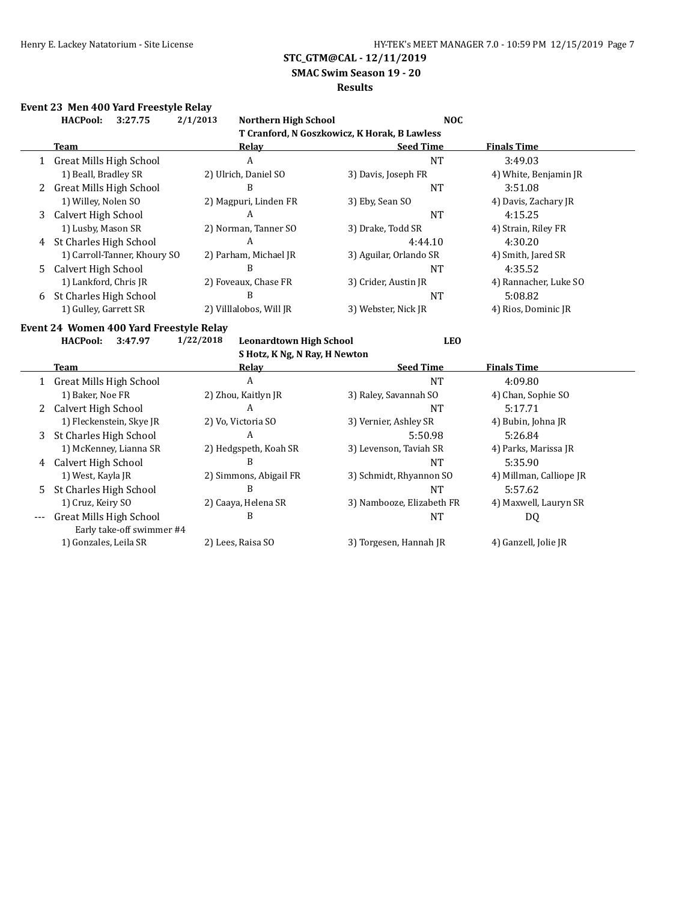**SMAC Swim Season 19 - 20**

#### **Results**

## **Event 23 Men 400 Yard Freestyle Relay**

|    | 2/1/2013<br>Northern High School<br><b>HACPool:</b><br><b>NOC</b><br>3:27.75 |                                             |                           |                         |  |  |  |  |  |
|----|------------------------------------------------------------------------------|---------------------------------------------|---------------------------|-------------------------|--|--|--|--|--|
|    | T Cranford, N Goszkowicz, K Horak, B Lawless                                 |                                             |                           |                         |  |  |  |  |  |
|    | <b>Team</b>                                                                  | <b>Relay</b>                                | <b>Seed Time</b>          | <b>Finals Time</b>      |  |  |  |  |  |
|    | 1 Great Mills High School                                                    | $\overline{A}$                              | <b>NT</b>                 | 3:49.03                 |  |  |  |  |  |
|    | 1) Beall, Bradley SR                                                         | 2) Ulrich, Daniel SO                        | 3) Davis, Joseph FR       | 4) White, Benjamin JR   |  |  |  |  |  |
| 2  | <b>Great Mills High School</b>                                               | B                                           | <b>NT</b>                 | 3:51.08                 |  |  |  |  |  |
|    | 1) Willey, Nolen SO                                                          | 2) Magpuri, Linden FR                       | 3) Eby, Sean SO           | 4) Davis, Zachary JR    |  |  |  |  |  |
| 3  | Calvert High School                                                          | A                                           | <b>NT</b>                 | 4:15.25                 |  |  |  |  |  |
|    | 1) Lusby, Mason SR                                                           | 2) Norman, Tanner SO                        | 3) Drake, Todd SR         | 4) Strain, Riley FR     |  |  |  |  |  |
| 4  | St Charles High School                                                       | A                                           | 4:44.10                   | 4:30.20                 |  |  |  |  |  |
|    | 1) Carroll-Tanner, Khoury SO                                                 | 2) Parham, Michael JR                       | 3) Aguilar, Orlando SR    | 4) Smith, Jared SR      |  |  |  |  |  |
| 5. | Calvert High School                                                          | B                                           | <b>NT</b>                 | 4:35.52                 |  |  |  |  |  |
|    | 1) Lankford, Chris JR                                                        | 2) Foveaux, Chase FR                        | 3) Crider, Austin JR      | 4) Rannacher, Luke SO   |  |  |  |  |  |
| 6  | St Charles High School                                                       | B                                           | <b>NT</b>                 | 5:08.82                 |  |  |  |  |  |
|    | 1) Gulley, Garrett SR                                                        | 2) Villlalobos, Will JR                     | 3) Webster, Nick JR       | 4) Rios, Dominic JR     |  |  |  |  |  |
|    | Event 24 Women 400 Yard Freestyle Relay                                      |                                             |                           |                         |  |  |  |  |  |
|    | <b>HACPool:</b><br>3:47.97                                                   | 1/22/2018<br><b>Leonardtown High School</b> | <b>LEO</b>                |                         |  |  |  |  |  |
|    | S Hotz, K Ng, N Ray, H Newton                                                |                                             |                           |                         |  |  |  |  |  |
|    |                                                                              |                                             |                           |                         |  |  |  |  |  |
|    | Team                                                                         | Relay                                       | <b>Seed Time</b>          | <b>Finals Time</b>      |  |  |  |  |  |
|    |                                                                              | $\mathbf{A}$                                | <b>NT</b>                 | 4:09.80                 |  |  |  |  |  |
|    | 1 Great Mills High School<br>1) Baker, Noe FR                                | 2) Zhou, Kaitlyn JR                         | 3) Raley, Savannah SO     | 4) Chan, Sophie SO      |  |  |  |  |  |
|    |                                                                              | A                                           | <b>NT</b>                 | 5:17.71                 |  |  |  |  |  |
|    | 2 Calvert High School<br>1) Fleckenstein, Skye JR                            | 2) Vo, Victoria SO                          | 3) Vernier, Ashley SR     | 4) Bubin, Johna JR      |  |  |  |  |  |
| 3  | St Charles High School                                                       | A                                           | 5:50.98                   | 5:26.84                 |  |  |  |  |  |
|    | 1) McKenney, Lianna SR                                                       | 2) Hedgspeth, Koah SR                       | 3) Levenson, Taviah SR    | 4) Parks, Marissa JR    |  |  |  |  |  |
| 4  | Calvert High School                                                          | B                                           | <b>NT</b>                 | 5:35.90                 |  |  |  |  |  |
|    | 1) West, Kayla JR                                                            | 2) Simmons, Abigail FR                      | 3) Schmidt, Rhyannon SO   | 4) Millman, Calliope JR |  |  |  |  |  |
| 5. | St Charles High School                                                       | B                                           | <b>NT</b>                 | 5:57.62                 |  |  |  |  |  |
|    | 1) Cruz, Keiry SO                                                            | 2) Caaya, Helena SR                         | 3) Nambooze, Elizabeth FR | 4) Maxwell, Lauryn SR   |  |  |  |  |  |
|    | <b>Great Mills High School</b>                                               | B                                           | <b>NT</b>                 | <b>DQ</b>               |  |  |  |  |  |
|    | Early take-off swimmer #4                                                    |                                             |                           |                         |  |  |  |  |  |